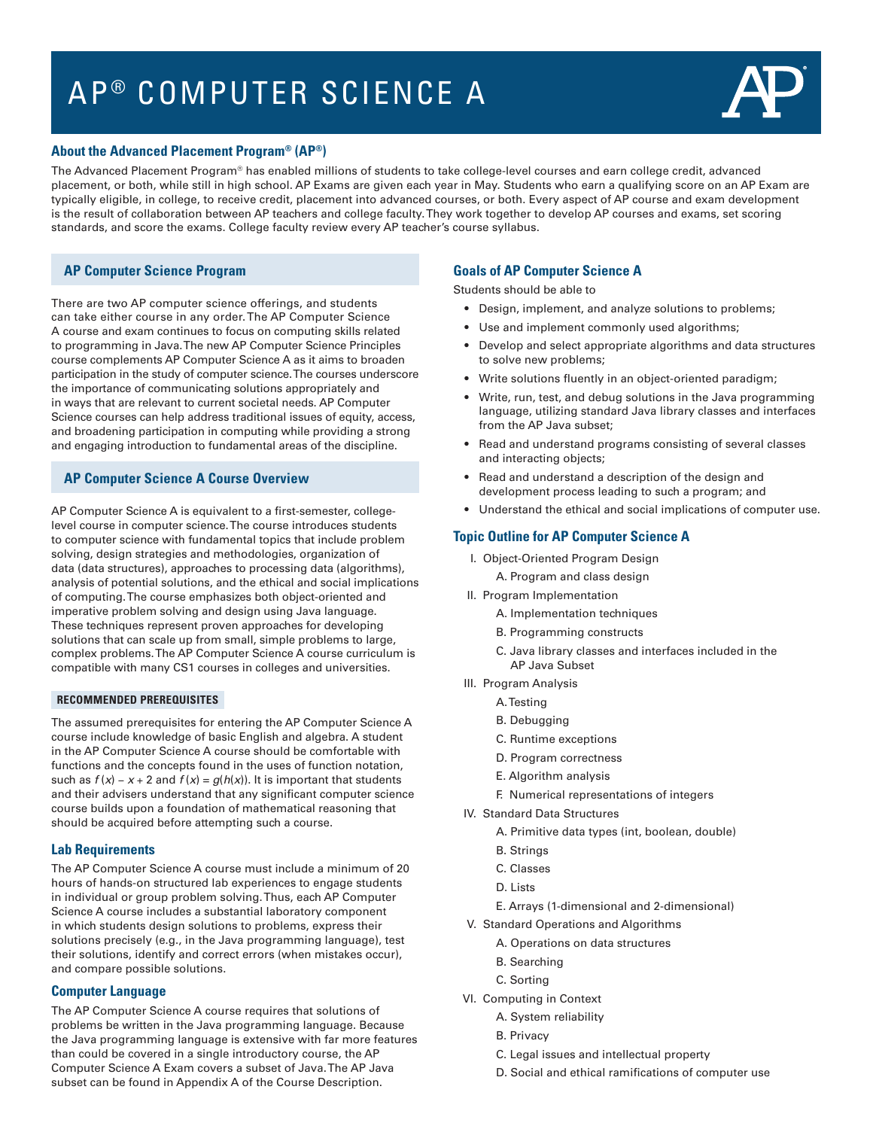# AP<sup>®</sup> COMPUTER SCIENCE A



## **About the Advanced Placement Program® (AP®)**

The Advanced Placement Program® has enabled millions of students to take college-level courses and earn college credit, advanced placement, or both, while still in high school. AP Exams are given each year in May. Students who earn a qualifying score on an AP Exam are typically eligible, in college, to receive credit, placement into advanced courses, or both. Every aspect of AP course and exam development is the result of collaboration between AP teachers and college faculty. They work together to develop AP courses and exams, set scoring standards, and score the exams. College faculty review every AP teacher's course syllabus.

# **AP Computer Science Program**

There are two AP computer science offerings, and students can take either course in any order. The AP Computer Science A course and exam continues to focus on computing skills related to programming in Java. The new AP Computer Science Principles course complements AP Computer Science A as it aims to broaden participation in the study of computer science. The courses underscore the importance of communicating solutions appropriately and in ways that are relevant to current societal needs. AP Computer Science courses can help address traditional issues of equity, access, and broadening participation in computing while providing a strong and engaging introduction to fundamental areas of the discipline.

# **AP Computer Science A Course Overview**

AP Computer Science A is equivalent to a first-semester, collegelevel course in computer science. The course introduces students to computer science with fundamental topics that include problem solving, design strategies and methodologies, organization of data (data structures), approaches to processing data (algorithms), analysis of potential solutions, and the ethical and social implications of computing. The course emphasizes both object-oriented and imperative problem solving and design using Java language. These techniques represent proven approaches for developing solutions that can scale up from small, simple problems to large, complex problems. The AP Computer Science A course curriculum is compatible with many CS1 courses in colleges and universities.

## **RECOMMENDED PREREQUISITES**

The assumed prerequisites for entering the AP Computer Science A course include knowledge of basic English and algebra. A student in the AP Computer Science A course should be comfortable with functions and the concepts found in the uses of function notation, such as  $f(x) - x + 2$  and  $f(x) = g(h(x))$ . It is important that students and their advisers understand that any significant computer science course builds upon a foundation of mathematical reasoning that should be acquired before attempting such a course.

## **Lab Requirements**

The AP Computer Science A course must include a minimum of 20 hours of hands-on structured lab experiences to engage students in individual or group problem solving. Thus, each AP Computer Science A course includes a substantial laboratory component in which students design solutions to problems, express their solutions precisely (e.g., in the Java programming language), test their solutions, identify and correct errors (when mistakes occur), and compare possible solutions.

## **Computer Language**

The AP Computer Science A course requires that solutions of problems be written in the Java programming language. Because the Java programming language is extensive with far more features than could be covered in a single introductory course, the AP Computer Science A Exam covers a subset of Java. The AP Java subset can be found in Appendix A of the Course Description.

# **Goals of AP Computer Science A**

Students should be able to

- Design, implement, and analyze solutions to problems;
- Use and implement commonly used algorithms;
- Develop and select appropriate algorithms and data structures to solve new problems;
- Write solutions fluently in an object-oriented paradigm;
- Write, run, test, and debug solutions in the Java programming language, utilizing standard Java library classes and interfaces from the AP Java subset;
- Read and understand programs consisting of several classes and interacting objects;
- Read and understand a description of the design and development process leading to such a program; and
- Understand the ethical and social implications of computer use.

## **Topic Outline for AP Computer Science A**

- I. Object-Oriented Program Design
	- A. Program and class design
- II. Program Implementation
	- A. Implementation techniques
	- B. Programming constructs
	- C. Java library classes and interfaces included in the AP Java Subset
- III. Program Analysis
	- A. Testing
	- B. Debugging
	- C. Runtime exceptions
	- D. Program correctness
	- E. Algorithm analysis
	- F. Numerical representations of integers
- IV. Standard Data Structures
	- A. Primitive data types (int, boolean, double)
	- B. Strings
	- C. Classes
	- D. Lists
	- E. Arrays (1-dimensional and 2-dimensional)
- V. Standard Operations and Algorithms
	- A. Operations on data structures
	- B. Searching
	- C. Sorting
- VI. Computing in Context
	- A. System reliability
	- B. Privacy
	- C. Legal issues and intellectual property
	- D. Social and ethical ramifications of computer use